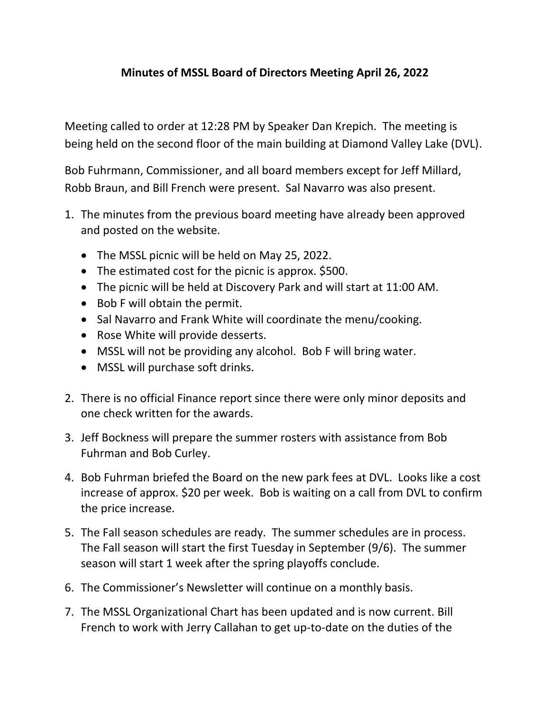# **Minutes of MSSL Board of Directors Meeting April 26, 2022**

Meeting called to order at 12:28 PM by Speaker Dan Krepich. The meeting is being held on the second floor of the main building at Diamond Valley Lake (DVL).

Bob Fuhrmann, Commissioner, and all board members except for Jeff Millard, Robb Braun, and Bill French were present. Sal Navarro was also present.

- 1. The minutes from the previous board meeting have already been approved and posted on the website.
	- The MSSL picnic will be held on May 25, 2022.
	- The estimated cost for the picnic is approx. \$500.
	- The picnic will be held at Discovery Park and will start at 11:00 AM.
	- Bob F will obtain the permit.
	- Sal Navarro and Frank White will coordinate the menu/cooking.
	- Rose White will provide desserts.
	- MSSL will not be providing any alcohol. Bob F will bring water.
	- MSSL will purchase soft drinks.
- 2. There is no official Finance report since there were only minor deposits and one check written for the awards.
- 3. Jeff Bockness will prepare the summer rosters with assistance from Bob Fuhrman and Bob Curley.
- 4. Bob Fuhrman briefed the Board on the new park fees at DVL. Looks like a cost increase of approx. \$20 per week. Bob is waiting on a call from DVL to confirm the price increase.
- 5. The Fall season schedules are ready. The summer schedules are in process. The Fall season will start the first Tuesday in September (9/6). The summer season will start 1 week after the spring playoffs conclude.
- 6. The Commissioner's Newsletter will continue on a monthly basis.
- 7. The MSSL Organizational Chart has been updated and is now current. Bill French to work with Jerry Callahan to get up-to-date on the duties of the